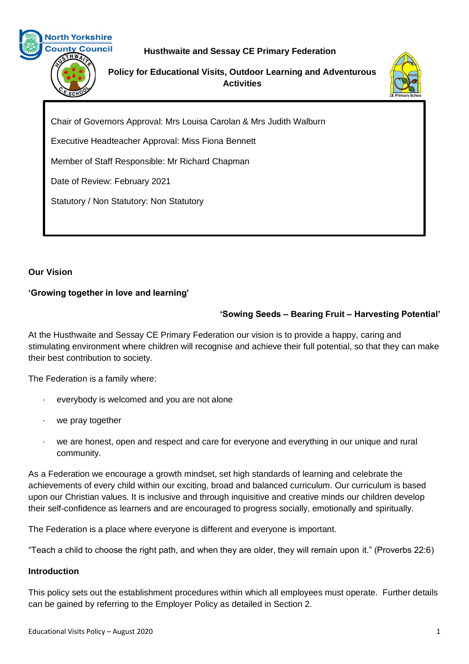

# **Husthwaite and Sessay CE Primary Federation**

**Policy for Educational Visits, Outdoor Learning and Adventurous Activities**



Chair of Governors Approval: Mrs Louisa Carolan & Mrs Judith Walburn

Executive Headteacher Approval: Miss Fiona Bennett

Member of Staff Responsible: Mr Richard Chapman

Date of Review: February 2021

Statutory / Non Statutory: Non Statutory

## **Our Vision**

## **'Growing together in love and learning'**

# **'Sowing Seeds – Bearing Fruit – Harvesting Potential'**

At the Husthwaite and Sessay CE Primary Federation our vision is to provide a happy, caring and stimulating environment where children will recognise and achieve their full potential, so that they can make their best contribution to society.

The Federation is a family where:

- everybody is welcomed and you are not alone
- we pray together
- we are honest, open and respect and care for everyone and everything in our unique and rural community.

As a Federation we encourage a growth mindset, set high standards of learning and celebrate the achievements of every child within our exciting, broad and balanced curriculum. Our curriculum is based upon our Christian values. It is inclusive and through inquisitive and creative minds our children develop their self-confidence as learners and are encouraged to progress socially, emotionally and spiritually.

The Federation is a place where everyone is different and everyone is important.

"Teach a child to choose the right path, and when they are older, they will remain upon it." (Proverbs 22:6)

### **Introduction**

This policy sets out the establishment procedures within which all employees must operate. Further details can be gained by referring to the Employer Policy as detailed in Section 2.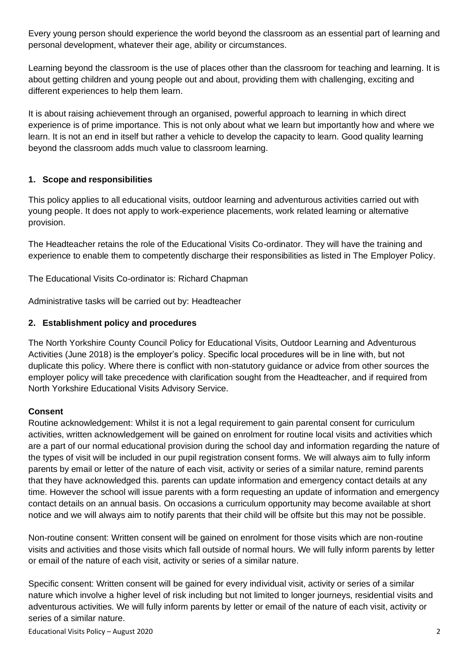Every young person should experience the world beyond the classroom as an essential part of learning and personal development, whatever their age, ability or circumstances.

Learning beyond the classroom is the use of places other than the classroom for teaching and learning. It is about getting children and young people out and about, providing them with challenging, exciting and different experiences to help them learn.

It is about raising achievement through an organised, powerful approach to learning in which direct experience is of prime importance. This is not only about what we learn but importantly how and where we learn. It is not an end in itself but rather a vehicle to develop the capacity to learn. Good quality learning beyond the classroom adds much value to classroom learning.

## **1. Scope and responsibilities**

This policy applies to all educational visits, outdoor learning and adventurous activities carried out with young people. It does not apply to work-experience placements, work related learning or alternative provision.

The Headteacher retains the role of the Educational Visits Co-ordinator. They will have the training and experience to enable them to competently discharge their responsibilities as listed in The Employer Policy.

The Educational Visits Co-ordinator is: Richard Chapman

Administrative tasks will be carried out by: Headteacher

### **2. Establishment policy and procedures**

The North Yorkshire County Council Policy for Educational Visits, Outdoor Learning and Adventurous Activities (June 2018) is the employer's policy. Specific local procedures will be in line with, but not duplicate this policy. Where there is conflict with non-statutory guidance or advice from other sources the employer policy will take precedence with clarification sought from the Headteacher, and if required from North Yorkshire Educational Visits Advisory Service.

### **Consent**

Routine acknowledgement: Whilst it is not a legal requirement to gain parental consent for curriculum activities, written acknowledgement will be gained on enrolment for routine local visits and activities which are a part of our normal educational provision during the school day and information regarding the nature of the types of visit will be included in our pupil registration consent forms. We will always aim to fully inform parents by email or letter of the nature of each visit, activity or series of a similar nature, remind parents that they have acknowledged this. parents can update information and emergency contact details at any time. However the school will issue parents with a form requesting an update of information and emergency contact details on an annual basis. On occasions a curriculum opportunity may become available at short notice and we will always aim to notify parents that their child will be offsite but this may not be possible.

Non-routine consent: Written consent will be gained on enrolment for those visits which are non-routine visits and activities and those visits which fall outside of normal hours. We will fully inform parents by letter or email of the nature of each visit, activity or series of a similar nature.

Specific consent: Written consent will be gained for every individual visit, activity or series of a similar nature which involve a higher level of risk including but not limited to longer journeys, residential visits and adventurous activities. We will fully inform parents by letter or email of the nature of each visit, activity or series of a similar nature.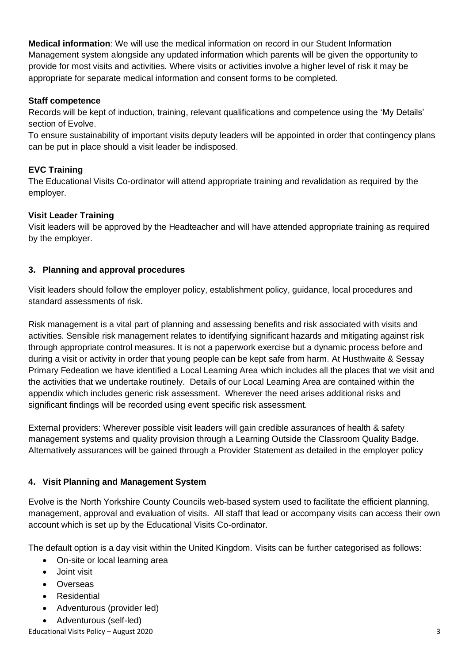**Medical information**: We will use the medical information on record in our Student Information Management system alongside any updated information which parents will be given the opportunity to provide for most visits and activities. Where visits or activities involve a higher level of risk it may be appropriate for separate medical information and consent forms to be completed.

## **Staff competence**

Records will be kept of induction, training, relevant qualifications and competence using the 'My Details' section of Evolve.

To ensure sustainability of important visits deputy leaders will be appointed in order that contingency plans can be put in place should a visit leader be indisposed.

## **EVC Training**

The Educational Visits Co-ordinator will attend appropriate training and revalidation as required by the employer.

### **Visit Leader Training**

Visit leaders will be approved by the Headteacher and will have attended appropriate training as required by the employer.

### **3. Planning and approval procedures**

Visit leaders should follow the employer policy, establishment policy, guidance, local procedures and standard assessments of risk.

Risk management is a vital part of planning and assessing benefits and risk associated with visits and activities. Sensible risk management relates to identifying significant hazards and mitigating against risk through appropriate control measures. It is not a paperwork exercise but a dynamic process before and during a visit or activity in order that young people can be kept safe from harm. At Husthwaite & Sessay Primary Fedeation we have identified a Local Learning Area which includes all the places that we visit and the activities that we undertake routinely. Details of our Local Learning Area are contained within the appendix which includes generic risk assessment. Wherever the need arises additional risks and significant findings will be recorded using event specific risk assessment.

External providers: Wherever possible visit leaders will gain credible assurances of health & safety management systems and quality provision through a Learning Outside the Classroom Quality Badge. Alternatively assurances will be gained through a Provider Statement as detailed in the employer policy

## **4. Visit Planning and Management System**

Evolve is the North Yorkshire County Councils web-based system used to facilitate the efficient planning, management, approval and evaluation of visits. All staff that lead or accompany visits can access their own account which is set up by the Educational Visits Co-ordinator.

The default option is a day visit within the United Kingdom. Visits can be further categorised as follows:

- On-site or local learning area
- Joint visit
- Overseas
- **Residential**
- Adventurous (provider led)
- Adventurous (self-led)

Educational Visits Policy – August 2020 3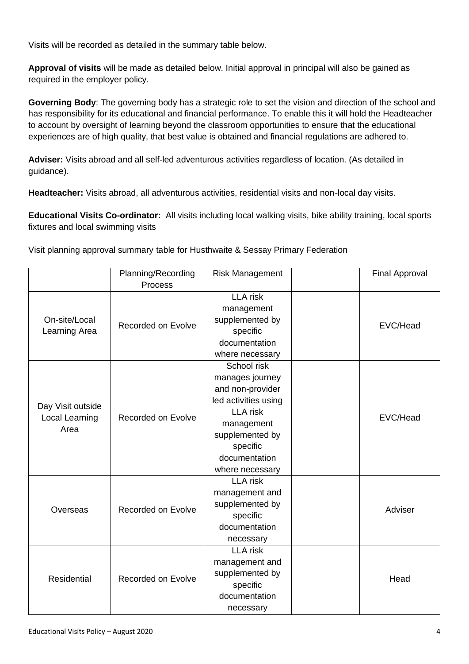Visits will be recorded as detailed in the summary table below.

**Approval of visits** will be made as detailed below. Initial approval in principal will also be gained as required in the employer policy.

**Governing Body**: The governing body has a strategic role to set the vision and direction of the school and has responsibility for its educational and financial performance. To enable this it will hold the Headteacher to account by oversight of learning beyond the classroom opportunities to ensure that the educational experiences are of high quality, that best value is obtained and financial regulations are adhered to.

**Adviser:** Visits abroad and all self-led adventurous activities regardless of location. (As detailed in guidance).

**Headteacher:** Visits abroad, all adventurous activities, residential visits and non-local day visits.

**Educational Visits Co-ordinator:** All visits including local walking visits, bike ability training, local sports fixtures and local swimming visits

Visit planning approval summary table for Husthwaite & Sessay Primary Federation

|                                             | Planning/Recording        | <b>Risk Management</b> |  | <b>Final Approval</b> |
|---------------------------------------------|---------------------------|------------------------|--|-----------------------|
|                                             | <b>Process</b>            |                        |  |                       |
| On-site/Local<br>Learning Area              | Recorded on Evolve        | <b>LLA</b> risk        |  | EVC/Head              |
|                                             |                           | management             |  |                       |
|                                             |                           | supplemented by        |  |                       |
|                                             |                           | specific               |  |                       |
|                                             |                           | documentation          |  |                       |
|                                             |                           | where necessary        |  |                       |
| Day Visit outside<br>Local Learning<br>Area | Recorded on Evolve        | School risk            |  | EVC/Head              |
|                                             |                           | manages journey        |  |                       |
|                                             |                           | and non-provider       |  |                       |
|                                             |                           | led activities using   |  |                       |
|                                             |                           | <b>LLA</b> risk        |  |                       |
|                                             |                           | management             |  |                       |
|                                             |                           | supplemented by        |  |                       |
|                                             |                           | specific               |  |                       |
|                                             |                           | documentation          |  |                       |
|                                             |                           | where necessary        |  |                       |
| Overseas                                    | <b>Recorded on Evolve</b> | <b>LLA</b> risk        |  | Adviser               |
|                                             |                           | management and         |  |                       |
|                                             |                           | supplemented by        |  |                       |
|                                             |                           | specific               |  |                       |
|                                             |                           | documentation          |  |                       |
|                                             |                           | necessary              |  |                       |
| Residential                                 | Recorded on Evolve        | <b>LLA</b> risk        |  | Head                  |
|                                             |                           | management and         |  |                       |
|                                             |                           | supplemented by        |  |                       |
|                                             |                           | specific               |  |                       |
|                                             |                           | documentation          |  |                       |
|                                             |                           | necessary              |  |                       |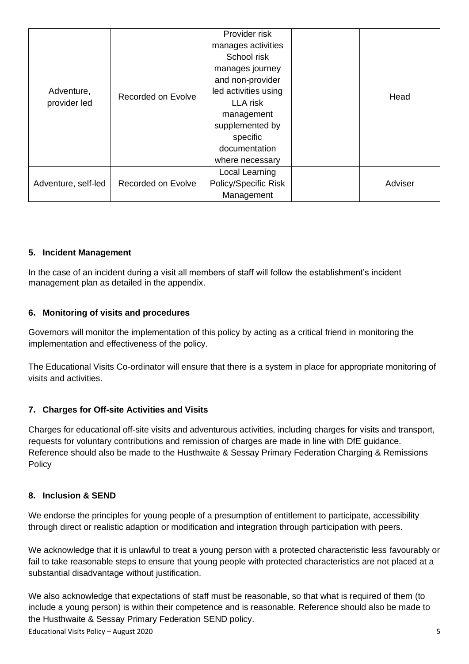| Adventure,<br>provider led | Recorded on Evolve | Provider risk        |  |         |
|----------------------------|--------------------|----------------------|--|---------|
|                            |                    | manages activities   |  | Head    |
|                            |                    | School risk          |  |         |
|                            |                    | manages journey      |  |         |
|                            |                    | and non-provider     |  |         |
|                            |                    | led activities using |  |         |
|                            |                    | <b>LLA</b> risk      |  |         |
|                            |                    | management           |  |         |
|                            |                    | supplemented by      |  |         |
|                            |                    | specific             |  |         |
|                            |                    | documentation        |  |         |
|                            |                    | where necessary      |  |         |
| Adventure, self-led        | Recorded on Evolve | Local Learning       |  |         |
|                            |                    | Policy/Specific Risk |  | Adviser |
|                            |                    | Management           |  |         |

### **5. Incident Management**

In the case of an incident during a visit all members of staff will follow the establishment's incident management plan as detailed in the appendix.

#### **6. Monitoring of visits and procedures**

Governors will monitor the implementation of this policy by acting as a critical friend in monitoring the implementation and effectiveness of the policy.

The Educational Visits Co-ordinator will ensure that there is a system in place for appropriate monitoring of visits and activities.

### **7. Charges for Off-site Activities and Visits**

Charges for educational off-site visits and adventurous activities, including charges for visits and transport, requests for voluntary contributions and remission of charges are made in line with DfE guidance. Reference should also be made to the Husthwaite & Sessay Primary Federation Charging & Remissions **Policy** 

#### **8. Inclusion & SEND**

We endorse the principles for young people of a presumption of entitlement to participate, accessibility through direct or realistic adaption or modification and integration through participation with peers.

We acknowledge that it is unlawful to treat a young person with a protected characteristic less favourably or fail to take reasonable steps to ensure that young people with protected characteristics are not placed at a substantial disadvantage without justification.

We also acknowledge that expectations of staff must be reasonable, so that what is required of them (to include a young person) is within their competence and is reasonable. Reference should also be made to the Husthwaite & Sessay Primary Federation SEND policy.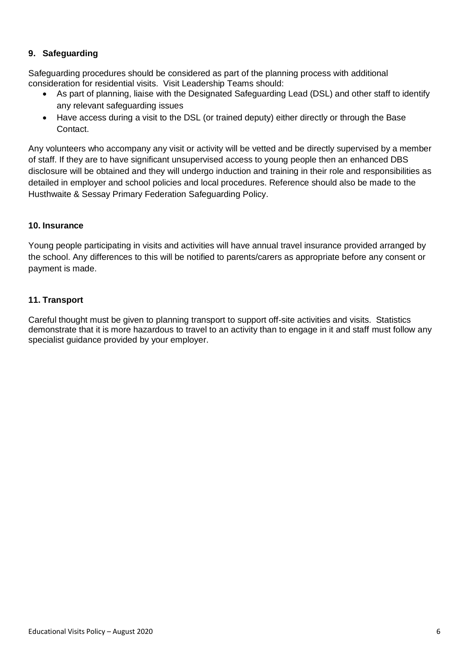## **9. Safeguarding**

Safeguarding procedures should be considered as part of the planning process with additional consideration for residential visits. Visit Leadership Teams should:

- As part of planning, liaise with the Designated Safeguarding Lead (DSL) and other staff to identify any relevant safeguarding issues
- Have access during a visit to the DSL (or trained deputy) either directly or through the Base Contact.

Any volunteers who accompany any visit or activity will be vetted and be directly supervised by a member of staff. If they are to have significant unsupervised access to young people then an enhanced DBS disclosure will be obtained and they will undergo induction and training in their role and responsibilities as detailed in employer and school policies and local procedures. Reference should also be made to the Husthwaite & Sessay Primary Federation Safeguarding Policy.

### **10. Insurance**

Young people participating in visits and activities will have annual travel insurance provided arranged by the school. Any differences to this will be notified to parents/carers as appropriate before any consent or payment is made.

### **11. Transport**

Careful thought must be given to planning transport to support off-site activities and visits. Statistics demonstrate that it is more hazardous to travel to an activity than to engage in it and staff must follow any specialist guidance provided by your employer.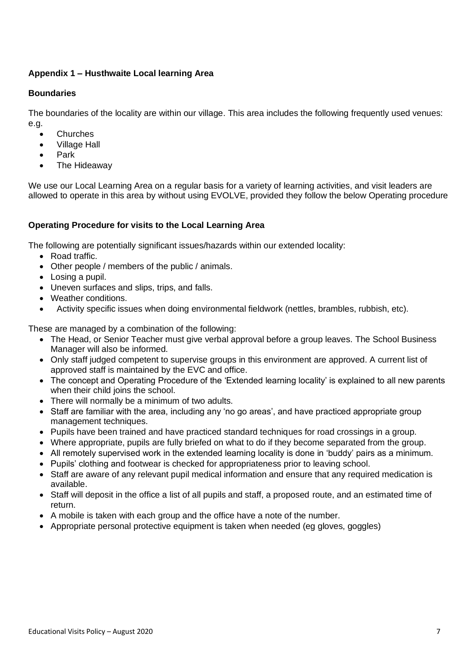### **Appendix 1 – Husthwaite Local learning Area**

### **Boundaries**

The boundaries of the locality are within our village. This area includes the following frequently used venues: e.g.

- **Churches**
- Village Hall
- Park
- The Hideaway

We use our Local Learning Area on a regular basis for a variety of learning activities, and visit leaders are allowed to operate in this area by without using EVOLVE, provided they follow the below Operating procedure

### **Operating Procedure for visits to the Local Learning Area**

The following are potentially significant issues/hazards within our extended locality:

- Road traffic.
- Other people / members of the public / animals.
- Losing a pupil.
- Uneven surfaces and slips, trips, and falls.
- Weather conditions.
- Activity specific issues when doing environmental fieldwork (nettles, brambles, rubbish, etc).

These are managed by a combination of the following:

- The Head, or Senior Teacher must give verbal approval before a group leaves. The School Business Manager will also be informed.
- Only staff judged competent to supervise groups in this environment are approved. A current list of approved staff is maintained by the EVC and office.
- The concept and Operating Procedure of the 'Extended learning locality' is explained to all new parents when their child joins the school.
- There will normally be a minimum of two adults.
- Staff are familiar with the area, including any 'no go areas', and have practiced appropriate group management techniques.
- Pupils have been trained and have practiced standard techniques for road crossings in a group.
- Where appropriate, pupils are fully briefed on what to do if they become separated from the group.
- All remotely supervised work in the extended learning locality is done in 'buddy' pairs as a minimum.
- Pupils' clothing and footwear is checked for appropriateness prior to leaving school.
- Staff are aware of any relevant pupil medical information and ensure that any required medication is available.
- Staff will deposit in the office a list of all pupils and staff, a proposed route, and an estimated time of return.
- A mobile is taken with each group and the office have a note of the number.
- Appropriate personal protective equipment is taken when needed (eg gloves, goggles)